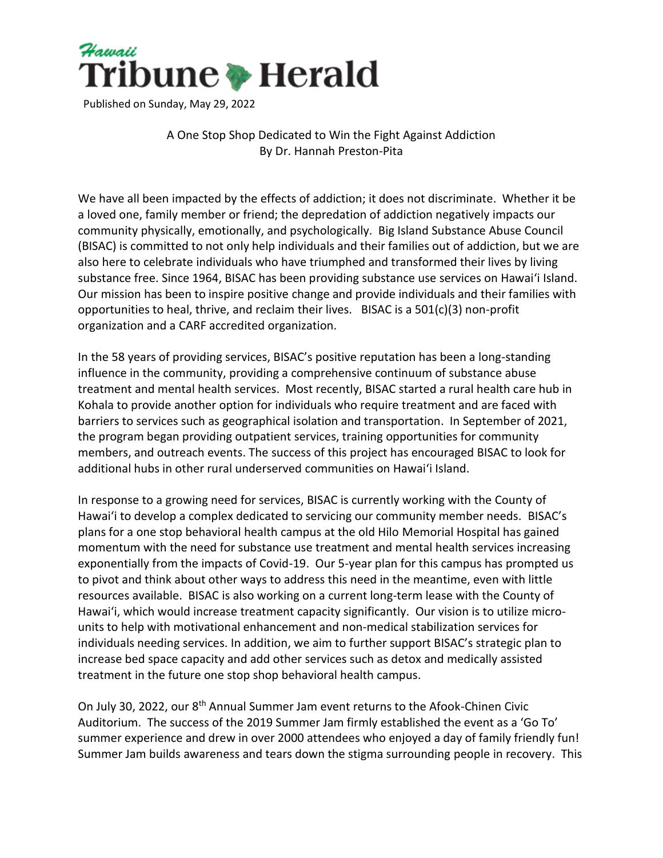

Published on Sunday, May 29, 2022

## A One Stop Shop Dedicated to Win the Fight Against Addiction By Dr. Hannah Preston-Pita

We have all been impacted by the effects of addiction; it does not discriminate. Whether it be a loved one, family member or friend; the depredation of addiction negatively impacts our community physically, emotionally, and psychologically. Big Island Substance Abuse Council (BISAC) is committed to not only help individuals and their families out of addiction, but we are also here to celebrate individuals who have triumphed and transformed their lives by living substance free. Since 1964, BISAC has been providing substance use services on Hawaiʻi Island. Our mission has been to inspire positive change and provide individuals and their families with opportunities to heal, thrive, and reclaim their lives. BISAC is a 501(c)(3) non-profit organization and a CARF accredited organization.

In the 58 years of providing services, BISAC's positive reputation has been a long-standing influence in the community, providing a comprehensive continuum of substance abuse treatment and mental health services. Most recently, BISAC started a rural health care hub in Kohala to provide another option for individuals who require treatment and are faced with barriers to services such as geographical isolation and transportation. In September of 2021, the program began providing outpatient services, training opportunities for community members, and outreach events. The success of this project has encouraged BISAC to look for additional hubs in other rural underserved communities on Hawaiʻi Island.

In response to a growing need for services, BISAC is currently working with the County of Hawaiʻi to develop a complex dedicated to servicing our community member needs. BISAC's plans for a one stop behavioral health campus at the old Hilo Memorial Hospital has gained momentum with the need for substance use treatment and mental health services increasing exponentially from the impacts of Covid-19. Our 5-year plan for this campus has prompted us to pivot and think about other ways to address this need in the meantime, even with little resources available. BISAC is also working on a current long-term lease with the County of Hawaiʻi, which would increase treatment capacity significantly. Our vision is to utilize microunits to help with motivational enhancement and non-medical stabilization services for individuals needing services. In addition, we aim to further support BISAC's strategic plan to increase bed space capacity and add other services such as detox and medically assisted treatment in the future one stop shop behavioral health campus.

On July 30, 2022, our 8th Annual Summer Jam event returns to the Afook-Chinen Civic Auditorium. The success of the 2019 Summer Jam firmly established the event as a 'Go To' summer experience and drew in over 2000 attendees who enjoyed a day of family friendly fun! Summer Jam builds awareness and tears down the stigma surrounding people in recovery. This